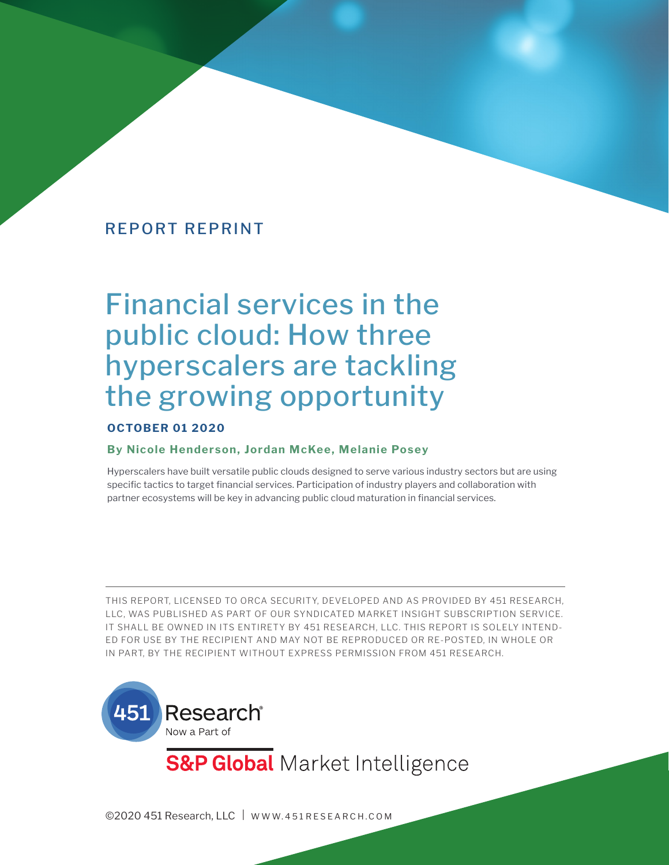# Financial services in the public cloud: How three hyperscalers are tackling the growing opportunity

#### **OCTOBER 01 2020**

#### **By Nicole Henderson, Jordan McKee, Melanie Posey**

Hyperscalers have built versatile public clouds designed to serve various industry sectors but are using specific tactics to target financial services. Participation of industry players and collaboration with partner ecosystems will be key in advancing public cloud maturation in financial services.

THIS REPORT, LICENSED TO ORCA SECURITY, DEVELOPED AND AS PROVIDED BY 451 RESEARCH, LLC, WAS PUBLISHED AS PART OF OUR SYNDICATED MARKET INSIGHT SUBSCRIPTION SERVICE. IT SHALL BE OWNED IN ITS ENTIRETY BY 451 RESEARCH, LLC. THIS REPORT IS SOLELY INTEND-ED FOR USE BY THE RECIPIENT AND MAY NOT BE REPRODUCED OR RE-POSTED, IN WHOLE OR IN PART, BY THE RECIPIENT WITHOUT EXPRESS PERMISSION FROM 451 RESEARCH.



**S&P Global** Market Intelligence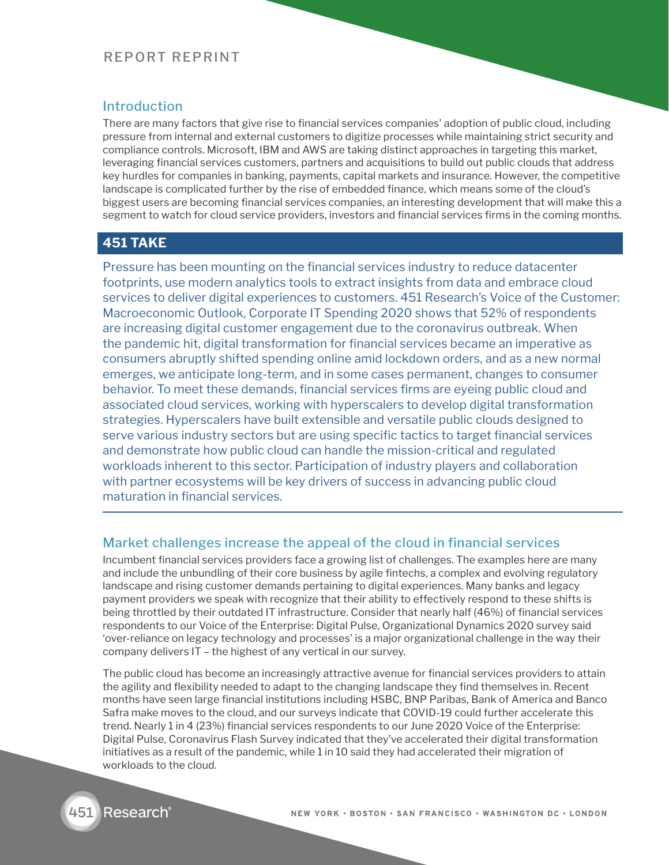#### Introduction

There are many factors that give rise to financial services companies' adoption of public cloud, including pressure from internal and external customers to digitize processes while maintaining strict security and compliance controls. Microsoft, IBM and AWS are taking distinct approaches in targeting this market, leveraging financial services customers, partners and acquisitions to build out public clouds that address key hurdles for companies in banking, payments, capital markets and insurance. However, the competitive landscape is complicated further by the rise of embedded finance, which means some of the cloud's biggest users are becoming financial services companies, an interesting development that will make this a segment to watch for cloud service providers, investors and financial services firms in the coming months.

## **451 TAKE**

Pressure has been mounting on the financial services industry to reduce datacenter footprints, use modern analytics tools to extract insights from data and embrace cloud services to deliver digital experiences to customers. 451 Research's Voice of the Customer: Macroeconomic Outlook, Corporate IT Spending 2020 shows that 52% of respondents are increasing digital customer engagement due to the coronavirus outbreak. When the pandemic hit, digital transformation for financial services became an imperative as consumers abruptly shifted spending online amid lockdown orders, and as a new normal emerges, we anticipate long-term, and in some cases permanent, changes to consumer behavior. To meet these demands, financial services firms are eyeing public cloud and associated cloud services, working with hyperscalers to develop digital transformation strategies. Hyperscalers have built extensible and versatile public clouds designed to serve various industry sectors but are using specific tactics to target financial services and demonstrate how public cloud can handle the mission-critical and regulated workloads inherent to this sector. Participation of industry players and collaboration with partner ecosystems will be key drivers of success in advancing public cloud maturation in financial services.

#### Market challenges increase the appeal of the cloud in financial services

Incumbent financial services providers face a growing list of challenges. The examples here are many and include the unbundling of their core business by agile fintechs, a complex and evolving regulatory landscape and rising customer demands pertaining to digital experiences. Many banks and legacy payment providers we speak with recognize that their ability to effectively respond to these shifts is being throttled by their outdated IT infrastructure. Consider that nearly half (46%) of financial services respondents to our Voice of the Enterprise: Digital Pulse, Organizational Dynamics 2020 survey said 'over-reliance on legacy technology and processes' is a major organizational challenge in the way their company delivers IT – the highest of any vertical in our survey.

The public cloud has become an increasingly attractive avenue for financial services providers to attain the agility and flexibility needed to adapt to the changing landscape they find themselves in. Recent months have seen large financial institutions including HSBC, BNP Paribas, Bank of America and Banco Safra make moves to the cloud, and our surveys indicate that COVID-19 could further accelerate this trend. Nearly 1 in 4 (23%) financial services respondents to our June 2020 Voice of the Enterprise: Digital Pulse, Coronavirus Flash Survey indicated that they've accelerated their digital transformation initiatives as a result of the pandemic, while 1 in 10 said they had accelerated their migration of workloads to the cloud.

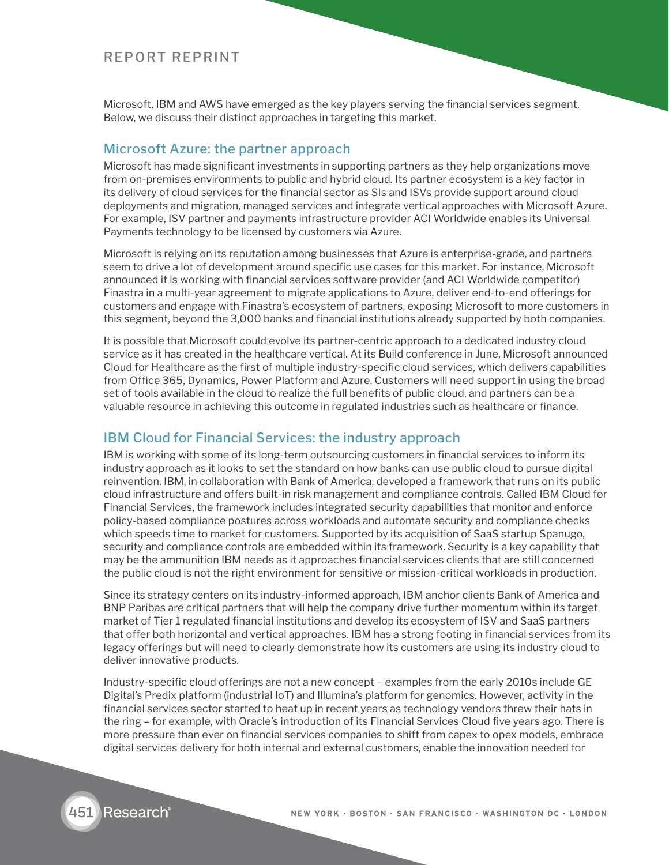Microsoft, IBM and AWS have emerged as the key players serving the financial services segment. Below, we discuss their distinct approaches in targeting this market.

#### Microsoft Azure: the partner approach

Microsoft has made significant investments in supporting partners as they help organizations move from on-premises environments to public and hybrid cloud. Its partner ecosystem is a key factor in its delivery of cloud services for the financial sector as SIs and ISVs provide support around cloud deployments and migration, managed services and integrate vertical approaches with Microsoft Azure. For example, ISV partner and payments infrastructure provider ACI Worldwide enables its Universal Payments technology to be licensed by customers via Azure.

Microsoft is relying on its reputation among businesses that Azure is enterprise-grade, and partners seem to drive a lot of development around specific use cases for this market. For instance, Microsoft announced it is working with financial services software provider (and ACI Worldwide competitor) Finastra in a multi-year agreement to migrate applications to Azure, deliver end-to-end offerings for customers and engage with Finastra's ecosystem of partners, exposing Microsoft to more customers in this segment, beyond the 3,000 banks and financial institutions already supported by both companies.

It is possible that Microsoft could evolve its partner-centric approach to a dedicated industry cloud service as it has created in the healthcare vertical. At its Build conference in June, Microsoft announced Cloud for Healthcare as the first of multiple industry-specific cloud services, which delivers capabilities from Office 365, Dynamics, Power Platform and Azure. Customers will need support in using the broad set of tools available in the cloud to realize the full benefits of public cloud, and partners can be a valuable resource in achieving this outcome in regulated industries such as healthcare or finance.

#### IBM Cloud for Financial Services: the industry approach

IBM is working with some of its long-term outsourcing customers in financial services to inform its industry approach as it looks to set the standard on how banks can use public cloud to pursue digital reinvention. IBM, in collaboration with Bank of America, developed a framework that runs on its public cloud infrastructure and offers built-in risk management and compliance controls. Called IBM Cloud for Financial Services, the framework includes integrated security capabilities that monitor and enforce policy-based compliance postures across workloads and automate security and compliance checks which speeds time to market for customers. Supported by its acquisition of SaaS startup Spanugo, security and compliance controls are embedded within its framework. Security is a key capability that may be the ammunition IBM needs as it approaches financial services clients that are still concerned the public cloud is not the right environment for sensitive or mission-critical workloads in production.

Since its strategy centers on its industry-informed approach, IBM anchor clients Bank of America and BNP Paribas are critical partners that will help the company drive further momentum within its target market of Tier 1 regulated financial institutions and develop its ecosystem of ISV and SaaS partners that offer both horizontal and vertical approaches. IBM has a strong footing in financial services from its legacy offerings but will need to clearly demonstrate how its customers are using its industry cloud to deliver innovative products.

Industry-specific cloud offerings are not a new concept – examples from the early 2010s include GE Digital's Predix platform (industrial IoT) and Illumina's platform for genomics. However, activity in the financial services sector started to heat up in recent years as technology vendors threw their hats in the ring – for example, with Oracle's introduction of its Financial Services Cloud five years ago. There is more pressure than ever on financial services companies to shift from capex to opex models, embrace digital services delivery for both internal and external customers, enable the innovation needed for